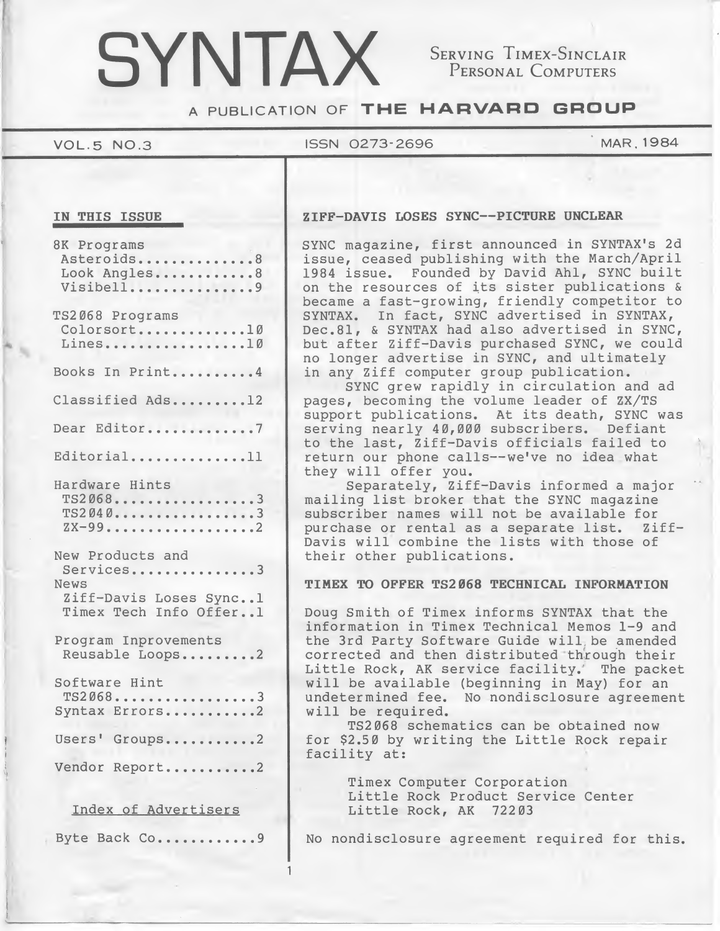# SYNTAX SERVING TIMEX-SINCLAIR

Personal Computers

A PUBLICATION OF THE HARVARD GROUP

# VOL.5 NO.3 ISSN 0273-2696 MAR.1984

|  | IN THIS ISSUE |
|--|---------------|
|  |               |

| 8K Programs<br>Asteroids8<br>Look Angles8<br>Visibell9                                    |
|-------------------------------------------------------------------------------------------|
| TS2068 Programs<br>Colorsort10<br>Lines10                                                 |
| Books In Print4                                                                           |
| Classified Ads12                                                                          |
| Dear Editor7                                                                              |
| Editorial11                                                                               |
| Hardware Hints<br>$TS2068$ 3<br>TS2040<br>ZX-992                                          |
| New Products and<br>Services3<br>News<br>Ziff-Davis Loses Sync1<br>Timex Tech Info Offer1 |
| Program Inprovements<br>Reusable Loops2                                                   |
| Software Hint<br>$TS2068 \ldots \ldots \ldots \ldots 3$<br>Syntax Errors2                 |
| Users' Groups2                                                                            |
| Vendor Report2                                                                            |
| $-$                                                                                       |

Index of Advertisers

1

ZIFF-DAVIS LOSES SYNC--PICTURE UNCLEAR

SYNC magazine, first announced in SYNTAX'S 2d issue, ceased publishing with the March/April <sup>1984</sup> issue. Founded by David Ahl, SYNC built on the resources of its sister publications & became a fast-growing, friendly competitor to SYNTAX. In fact, SYNC advertised in SYNTAX, Dec.81, & SYNTAX had also advertised in SYNC, but after Ziff-Davis purchased SYNC, we could no longer advertise in SYNC, and ultimately in any Ziff computer group publication.

SYNC grew rapidly in circulation and ad pages, becoming the volume leader of ZX/TS pages, becoming the volume reader of 2A/15<br>support publications. At its death, SYNC was serving nearly 40,000 subscribers. Defiant to the last, Ziff-Davis officials failed to return our phone calls--we've no idea what they will offer you.

Separately, Ziff-Davis informed a major mailing list broker that the SYNC magazine subscriber names will not be available for purchase or rental as <sup>a</sup> separate list. Ziff-Davis will combine the lists with those of their other publications.

# TIMEX TO OFFER TS2068 TECHNICAL INFORMATION

Doug Smith of Timex informs SYNTAX that the information in Timex Technical Memos 1-9 and the 3rd Party Software Guide will be amended corrected and then distributed through their Little Rock, AK service facility.' The packet will be available (beginning in May) for an undetermined fee. No nondisclosure agreement will be required.

TS2068 schematics can be obtained now for \$2.50 by writing the Little Rock repair facility at:

> Timex Computer Corporation Little Rock Product Service Center Little Rock, AK 72203

Byte Back Co............ | No nondisclosure agreement required for this.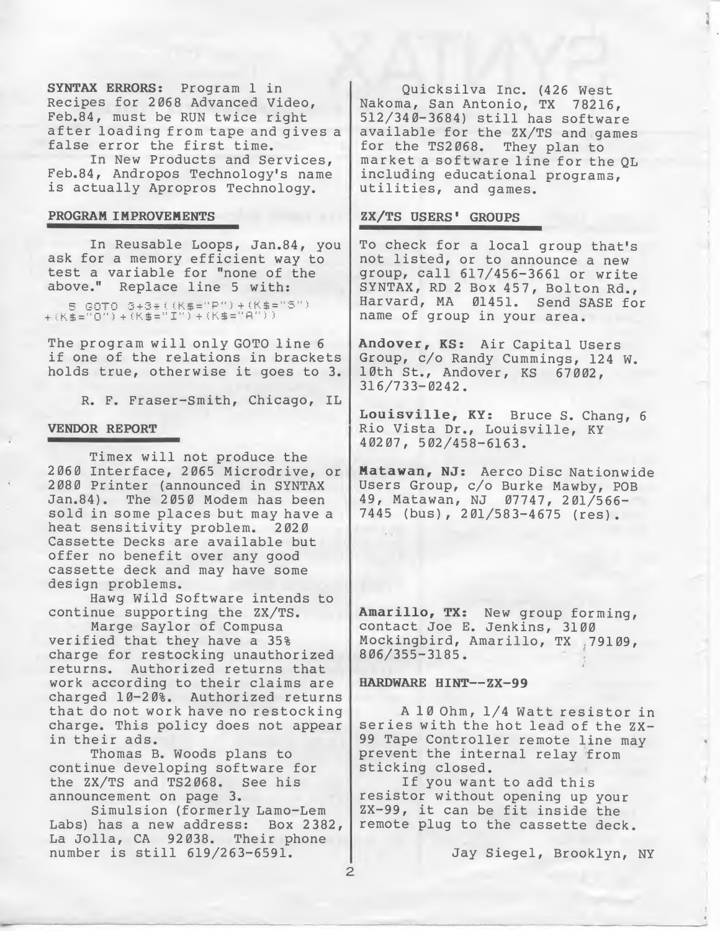SYNTAX ERRORS: Program <sup>1</sup> in Recipes for 2068 Advanced Video, Feb.84, must be RUN twice right after loading from tape and gives <sup>a</sup> false error the first time.

In New Products and Services, Feb.84, Andropos Technology's name is actually Apropros Technology.

# PROGRAM IMPROVEMENTS

In Reusable Loops, Jan.84, you ask for a memory efficient way to test <sup>a</sup> variable for "none of the above." Replace line <sup>5</sup> with:

5 GOTO 3+3\*((K\$="P")+(K\$="5")<br>+(K\$="0")+(K\$="I")+(K\$="A"))

The program will only GOTO line <sup>6</sup> if one of the relations in brackets holds true, otherwise it goes to 3.

R. F. Fraser-Smith, Chicago, IL

#### VENDOR REPORT

Timex will not produce the 2060 Interface, 2065 Microdrive, or 2080 Printer (announced in SYNTAX Jan.84). The 2050 Modem has been sold in some places but may have a heat sensitivity problem. 2020 Cassette Decks are available but offer no benefit over any good cassette deck and may have some design problems.

Hawg Wild Software intends to continue supporting the ZX/TS.

Marge Saylor of Compusa verified that they have a 35% charge for restocking unauthorized returns. Authorized returns that work according to their claims are charged 10-20%. Authorized returns that do not work have no restocking charge. This policy does not appear in their ads.

Thomas B. Woods plans to continue developing software for the ZX/TS and TS2068. See his announcement on page 3.

Simulsion (formerly Lamo-Lem Labs) has a new address: Box 2382, La Jolla, CA 92038. Their phone number is still 619/263-6591.

Quicksilva Inc. (426 West Nakoma, San Antonio, TX 78216, 512/340-3684) still has software available for the ZX/TS and games for the TS2068. They plan to market <sup>a</sup> software line for the QL including educational programs, utilities, and games.

# ZX/TS USERS' GROUPS

To check for a local group that's not listed, or to announce <sup>a</sup> new group, call 617/456-3661 or write SYNTAX, RD <sup>2</sup> Box 457, Bolton Rd., Harvard, MA 01451. Send SASE for name of group in your area.

Andover, KS: Air Capital Users Group, c/o Randy Cummings, 124 W. 10th St., Andover, KS 67002, 316/733-0242 .

Louisville, KY: Bruce S. Chang, <sup>6</sup> Rio Vista Dr., Louisville, KY 40207, 502/458-6163.

Matawan, NJ: Aerco Disc Nationwide Users Group, c/o Burke Mawby, POB 49, Matawan, NJ 07747, 201/566- 7445 (bus), 201/583-4675 (res).

Amarillo, TX: New group forming, contact Joe E. Jenkins, 3100 Mockingbird, Amarillo, TX , 79109, 806/355-3185.

#### HARDWARE HINT--ZX-99

2

<sup>A</sup> <sup>10</sup> Ohm, 1/4 Watt resistor in series with the hot lead of the ZX-<sup>99</sup> Tape Controller remote line may prevent the internal relay from sticking closed.

If you want to add this resistor without opening up your ZX-99, it can be fit inside the remote plug to the cassette deck.

Jay Siegel, Brooklyn, NY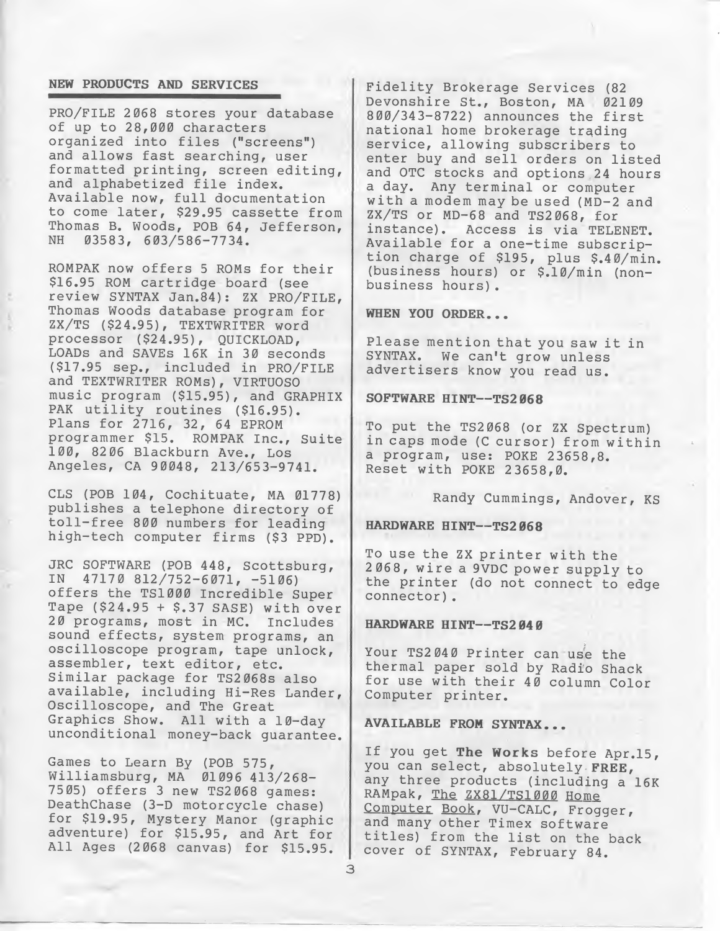#### NEW PRODUCTS AND SERVICES

PRO/FILE 2068 stores your database of up to 28,000 characters organized into files ("screens") and allows fast searching, user formatted printing, screen editing, and alphabetized file index. Available now, full documentation to come later, \$29.95 cassette from Thomas B. Woods, POB 64, Jefferson, 03583, 603/586-7734.

ROMPAK now offers <sup>5</sup> ROMs for their \$16.95 ROM cartridge board (see review SYNTAX Jan.84): ZX PRO/FILE, Thomas Woods database program for ZX/TS (\$24.95), TEXTWRITER word processor (\$24.95), QUICKLOAD, LOADS and SAVEs 16K in 30 seconds (\$17.95 sep., included in PRO/FILE and TEXTWRITER ROMs), VIRTUOSO music program (\$15.95), and GRAPHIX PAK utility routines (\$16.95). Plans for 2716, 32, 64 EPROM programmer \$15. ROMPAK Inc., Suite 100, 82 06 Blackburn Ave., Los Angeles, CA 90048, 213/653-9741.

CLS (POB 104, Cochituate, MA 01778) publishes a telephone directory of toll-free <sup>800</sup> numbers for leading high-tech computer firms (\$3 PPD).

JRC SOFTWARE (POB 448, Scottsburg, IN 47170 812/752-6071, -5106) offers the TS1000 Incredible Super Tape (\$24.95 <sup>+</sup> \$.37 SASE) with over 20 programs, most in MC. Includes sound effects, system programs, an oscilloscope program, tape unlock, assembler, text editor, etc. Similar package for TS2068s also available, including Hi-Res Lander, Oscilloscope, and The Great Graphics Show. All with a 10-day unconditional money-back guarantee.

Games to Learn By (POB 575, Williamsburg, MA 01096 413/268- 7505) offers <sup>3</sup> new TS2068 games: DeathChase (3-D motorcycle chase) for \$19.95, Mystery Manor (graphic adventure) for \$15.95, and Art for All Ages (2068 canvas) for \$15.95.

Fidelity Brokerage Services (82 Devonshire St., Boston, MA 02109 800/343-8722) announces the first national home brokerage trading service, allowing subscribers to enter buy and sell orders on listed and OTC stocks and options 24 hours a day. Any terminal or computer with a modem may be used (MD-2 and ZX/TS or MD-68 and TS2068, for<br>instance). Access is via TELE Access is via TELENET. Available for a one-time subscription charge of \$195, plus \$.40/min. (business hours) or \$.10/min (non business hours).

WHEN YOU ORDER...

Please mention that you saw it in SYNTAX. We can't grow unless advertisers know you read us.

### SOFTWARE HINT--TS2068

To put the TS2068 (or ZX Spectrum) in caps mode (C cursor) from within a program, use: POKE 23658,8. Reset with POKE 23658,0.

Randy Cummings, Andover, KS

# HARDWARE HINT--TS2068

To use the ZX printer with the 2068, wire a 9VDC power supply to the printer (do not connect to edge connector) .

# HARDWARE HINT--TS2040

Your TS2040 Printer can use the thermal paper sold by Radio Shack for use with their 40 column Color Computer printer.

### AVAILABLE FROM SYNTAX...

If you get The Works before Apr.15, you can select, absolutely FREE, any three products (including a 16K RAMpak, The ZX81/TS1000 Home Computer Book, VU-CALC, Frogger, and many other Timex software titles) from the list on the back cover of SYNTAX, February 84.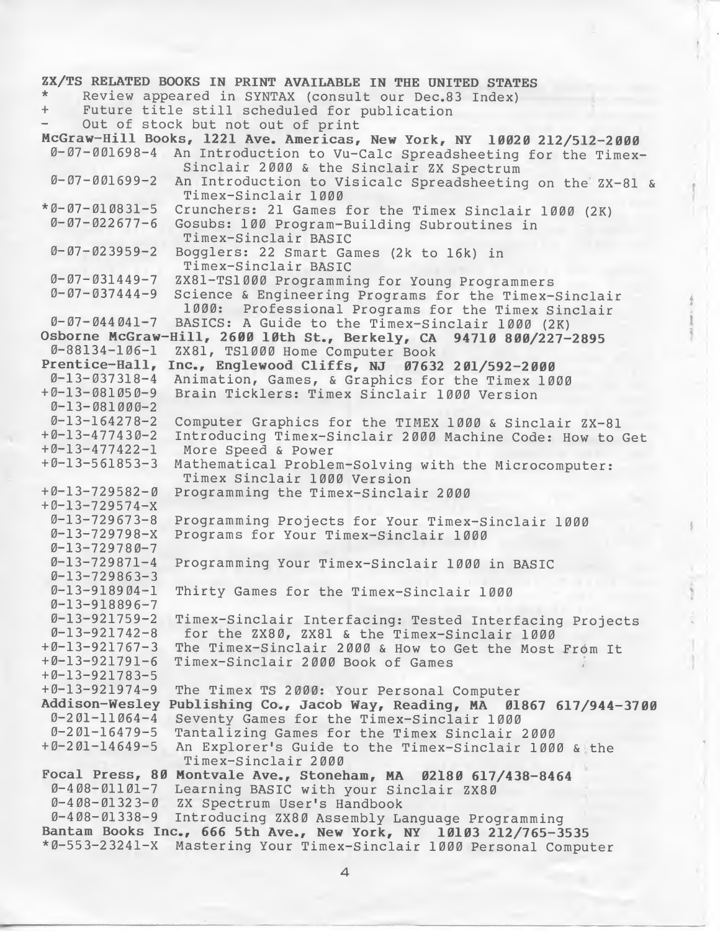# ZX/TS RELATED BOOKS IN PRINT AVAILABLE IN THE UNITED STATES Review appeared in SYNTAX (consult our Dec.83 Index) Future title still scheduled for publication Out of stock but not out of print McGraw-Hill Books, 1221 Ave. Americas, New York, NY 10020 212/512-2000<br>0-07-001698-4 An Introduction to Vu-Calc Spreadsheeting for the Timex An Introduction to Vu-Calc Spreadsheeting for the Timex-Sinclair 2000 & the Sinclair ZX Spectrum 0-07-001699-2 An Introduction to Visicalc Spreadsheeting on the ZX-81 & Timex-Sinclair 1000 \*0-07-010831-5 Crunchers: 21 Games for the Timex Sinclair 1000 (2K) Gosubs: 100 Program-Building Subroutines in Timex-Sinclair BASIC 0-07-02 3959-2 Bogglers: 22 Smart Games (2k to 16k) in Timex-Sinclair BASIC 0-07-031449-7 ZX81-TS1000 Programming for Young Programmers Science & Engineering Programs for the Timex-Sinclair 1000: Professional Programs for the Timex Sinclair 0-07-044041-7 BASICS: <sup>A</sup> Guide to the Timex-Sinclair 1000 (2K) Osborne McGraw-Hill, 2600 10th St., Berkely, CA 94710 800/227-2895<br>0-88134-106-1 ZX81, TS1000 Home Computer Book ZX81, TS1000 Home Computer Book Prentice-Hall, Inc., Englewood Cliffs, NJ 07632 201/592-2000<br>0-13-037318-4 Animation, Games, & Graphics for the Timex 10 0-13-037318-4 Animation, Games, & Graphics for the Timex 1000 Brain Ticklers: Timex Sinclair 1000 Version 0-13-081000-2<br>0-13-164278-2 0-13-164278-2 Computer Graphics for the TIMEX 1000 & Sinclair ZX-81 +0-13-477430-2 Introducing Timex-Sinclair 2000 Machine Code: How to Get +0-13-477422-1 More Speed & Power Mathematical Problem-Solving with the Microcomputer: Timex Sinclair 1000 Version +0-13-729582-0 Programming the Timex-Sinclair 2000 +0-13-729574-X 0-13-729673-8 Programming Projects for Your Timex-Sinclair 1000 Programs for Your Timex-Sinclair 1000 0-13-729780-7<br>0-13-729871-4 Programming Your Timex-Sinclair 1000 in BASIC  $0-13-729863-3$ <br> $0-13-918904-1$ Thirty Games for the Timex-Sinclair 1000 0-13-918896-7 0-13-921759-2 Timex-Sinclair Interfacing: Tested Interfacing Projects 0-13-921742-8 for the ZX80, ZX81 & the Timex-Sinclair 1000  $+0-13-921767-3$  The Timex-Sinclair 2000 & How to Get the Most From It<br> $+0-13-921791-6$  Timex-Sinclair 2000 Book of Games Timex-Sinclair 2000 Book of Games +0-13-921783-5 The Timex TS 2000: Your Personal Computer<br>Publishing Co., Jacob Way, Reading, MA 01867 617/944-3700 Addison-Wesley Publishing Co., Jacob Way, Reading, MA<br>0-201-11064-4 Seventy Games for the Timex-Sinclair 1 0-201-11064-4 Seventy Games for the Timex-Sinclair 1000 0-201-16479-5 Tantalizing Games for the Timex Sinclair 2000 An Explorer's Guide to the Timex-Sinclair 1000 & the Timex-Sinclair 2000 Focal Press, 80 Montvale Ave., Stoneham, MA 02180 617/438-8464 0-408-01101-7 Learning BASIC with your Sinclair ZX80<br>0-408-01323-0 ZX Spectrum User's Handbook ZX Spectrum User's Handbook 0-408-01338-9 Introducing ZX80 Assembly Language Programming Bantam Books Inc., 666 5th Ave., New York, NY 10103 212/765-3535 \*0-553-23241-X Mastering Your Timex-Sinclair 1000 Personal Computer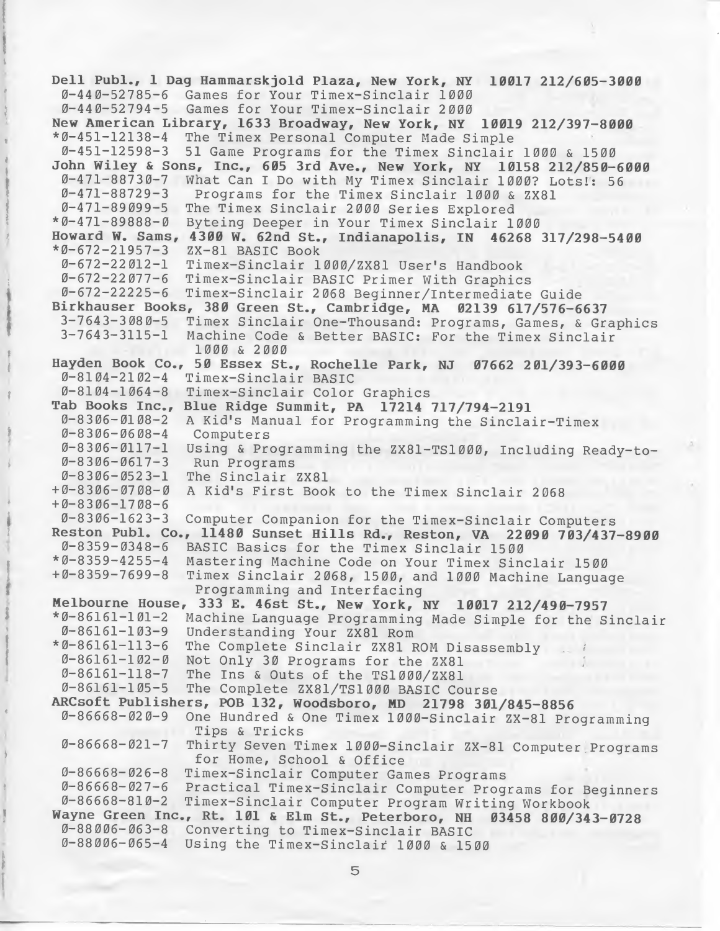Dell Publ., <sup>1</sup> Dag Hammarskjold Plaza, New York, NY 10017 212/605-3000 0-440-52785-6 Games for Your Timex-Sinclair 1000 0-440-52794-5 Games for Your Timex-Sinclair 2000 New American Library, 1633 Broadway, New York, NY 10019 212/397-8000 \*0-451-12138-4 The Timex Personal Computer Made Simple 0-451-12598-3 <sup>51</sup> Game Programs for the Timex Sinclair 1000 & 1500 John Wiley & Sons, Inc., 605 3rd Ave., New York, NY 10158 212/850-6000  $0-471-88730-7$  What Can I Do with My Timex Sinclair 1000? Lots!: 56<br>0-471-88729-3 Programs for the Timex Sinclair 1000 & ZX81 Programs for the Timex Sinclair 1000 & ZX81 0-471-89099-5 The Timex Sinclair 2000 Series Explored \*0-471-89888-0 Byteing Deeper in Your Timex Sinclair 1000 Howard W. Sams, 4300 W. 62nd St., Indianapolis, IN 46268 317/298-5400 \*0-672-21957-3 ZX-81 BASIC Book 0-672-22012-1 Timex-Sinclair 1000/ZX81 User's Handbook 0-672-22077-6 Timex-Sinclair BASIC Primer With Graphics 0-672-22225-6 Timex-Sinclair 2068 Beginner/Intermediate Guide Birkhauser Books, 380 Green St., Cambridge, MA 02139 617/576-6637 3-7643-3080-5 Timex Sinclair One-Thousand: Programs, Games, & Graphics<br>3-7643-3115-1 Machine Code & Better BASIC: For the Timex Sinclair Machine Code & Better BASIC: For the Timex Sinclair 1000 & 2000 Hayden Book Co., 50 Essex St., Rochelle Park, NJ 07662 201/393-6000 0-8104-2102-4 Timex-Sinclair BASIC 0-8104-1064-8 Timex-Sinclair Color Graphics Tab Books Inc., Blue Ridge Summit, PA 17214 717/794-2191 0-8306-0108-2 A Kid's Manual for Programming the Sinclair-Timex<br>0-8306-0608-4 Computers  $0 - 8306 - 0608 - 4$  $0-8306-0117-1$  Using & Programming the ZX81-TS1000, Including Ready-to-<br>0-8306-0617-3 Run Programs  $0-8306 - 0617 - 3$ 0-8306-0523-1 The Sinclair ZX81 +0-8306-0708-0 <sup>A</sup> Kid's First Book to the Timex Sinclair 2068 +0-8306-1708-6 0-8306-1623-3 Computer Companion for the Timex-Sinclair Computers Reston Publ. Co., 11480 Sunset Hills Rd., Reston, VA 22090 703/437-8900 0-8359-0348-6 BASIC Basics for the Timex Sinclair 1500 \*0-8359-4255-4 Mastering Machine Code on Your Timex Sinclair 1500 Timex Sinclair 2068, 1500, and 1000 Machine Language Programming and Interfacing Melbourne House, 333 E. 46st St., New York, NY 10017 212/490-7957 \*0-86161-101-2 Machine Language Programming Made Simple for the Sinclair 0-86161-103-9 Understanding Your ZX81 Rom \*0-86161-113-6 The Complete Sinclair ZX81 ROM Disassembly 0-86161-102-0 Not Only 30 Programs for the ZX81 0-86161-118-7 The Ins & Outs of the TS1000/ZX81 The Complete ZX81/TS1000 BASIC Course ARCsoft Publishers, POB 132, Woodsboro, MD 21798 301/845-8856<br> $\ell$ -86668-020-9 One Hundred & One Timex 1000-Sinclair ZX-81 Pro One Hundred & One Timex 1000-Sinclair ZX-81 Programming Tips & Tricks 0-86668-021-7 Thirty Seven Timex 1000-Sinclair ZX-81 Computer Programs for Home, School & Office 0-86668-026-8 Timex-Sinclair Computer Games Programs 0-86668-027-6 Practical Timex-Sinclair Computer Programs for Beginners Timex-Sinclair Computer Program Writing Workbook Wayne Green Inc., Rt. 101 & Elm St., Peterboro, NH 03458 800/343-0728 0-88006-063-8 Converting to Timex-Sinclair BASIC 0-88006-065-4 Using the Timex-Sinclair 1000 & 1500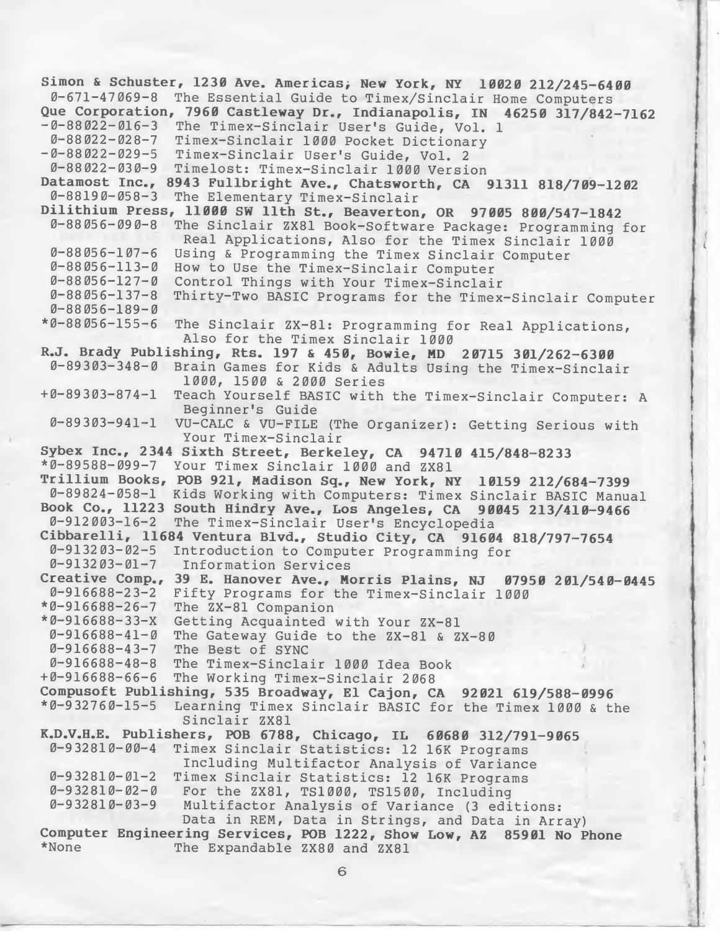Simon & Schuster, 1230 Ave. Americas; New York, NY 10020 212/245-6400 0-671-47069-8 The Essential Guide to Timex/Sinclair Home Computers Que Corporation, 7960 Castleway Dr., Indianapolis, IN 46250 317/842-7162 -0-88022-016-3 The Timex-Sinclair User's Guide, Vol. <sup>1</sup> 0-88022-028-7 Timex-Sinclair 1000 Pocket Dictionary -0-88022-029-5 Timex-Sinclair User's Guide, Vol. <sup>2</sup> 0-88022-030-9 Timelost: Timex-Sinclair 1000 Version Datamost Inc., 8943 Fullbright Ave., Chatsworth, CA 91311 818/709-1202 0-88190-058-3 The Elementary Timex-Sinclair Dilithium Press, 11000 SW 11th St., Beaverton, OR 97005 800/547-1842 0-88056-090-8 The Sinclair ZX81 Book-Software Package: Programming for Real Applications, Also for the Timex Sinclair 1000  $0-88056-107-6$  Using & Programming the Timex Sinclair Computer  $0-88056-113-0$  How to Use the Timex-Sinclair Computer 0-88056-113-0 How to Use the Timex-Sinclair Computer 0-88056-127-0 Control Things with Your Timex-Sinclair Thirty-Two BASIC Programs for the Timex-Sinclair Computer 0-88056-189-0 \*0-88056-155-6 The Sinclair ZX-81: Programming for Real Applications, Also for the Timex Sinclair 1000 R.J. Brady Publishing, Rts. 197 & 450, Bowie, MD 20715 301/262-6300 0-89303-348-0 Brain Games for Kids & Adults Using the Timex-Sinclair 1000, 1500 & 2000 Series +0-89303-874-1 Teach Yourself BASIC with the Timex-Sinclair Computer: <sup>A</sup> Beginner's Guide 0-89303-941-1 VU-CALC & VU-FILE (The Organizer): Getting Serious with Your Timex-Sinclair Sybex Inc., 2344 Sixth Street, Berkeley, CA 94710 415/848-8233 \*0-89588-099-7 Your Timex Sinclair 1000 and ZX81 Trillium Books, POB 921, Madison Sq., New York, NY 10159 212/684-7399 0-89824-058-1 Kids Working with Computers: Timex Sinclair BASIC Manual Book Co., 11223 South Hindry Ave., Los Angeles, CA 90045 213/410-9466 0-912003-16-2 The Timex-Sinclair User's Encyclopedia Cibbarelli, 11684 Ventura Blvd., Studio City, CA 91604 818/797-7654 0-913203-02-5 Introduction to Computer Programming for<br>0-913203-01-7 Information Services Information Services Creative Comp., 39 E. Hanover Ave., Morris Plains, NJ 07950 201/540-0445<br>0-916688-23-2 Fifty Programs for the Timex-Sinclair 1000 0-916688-23-2 Fifty Programs for the Timex-Sinclair 1000<br>\*0-916688-26-7 The ZX-81 Companion The ZX-81 Companion \*0-916688-33-X Getting Acquainted with Your ZX-81 0-916688-41-0 The Gateway Guide to the ZX-81 & ZX-80 0-916688-43-7 The Best of SYNC 0-916688-48-8 The Timex-Sinclair 1000 Idea Book The Working Timex-Sinclair 2068 Compusoft Publishing, 535 Broadway, El Cajon, CA 92021 619/588-0996 \*0-932760-15-5 Learning Timex Sinclair BASIC for the Timex 1000 & the Sinclair ZX81  $K.D.V.H.E.$  Publishers, POB 6788, Chicago, IL 60680 312/791-9065<br>0-932810-00-4 Timex Sinclair Statistics: 12 16K Programs Timex Sinclair Statistics: 12 16K Programs Including Multifactor Analysis of Variance  $0-932810-01-2$  Timex Sinclair Statistics: 12 16K Programs<br> $0-932810-02-0$  For the ZX81, TS1000, TS1500, Including 0-932810-02-0 For the ZX81, TS1000, TS1500, Including<br>0-932810-03-9 Multifactor Analysis of Variance (3 edi Multifactor Analysis of Variance (3 editions: Data in REM, Data in Strings, and Data in Array) Computer Engineering Services, POB 1222, Show Low, AZ 85901 No Phone<br>\*None The Expandable  $ZX80$  and  $ZX81$ The Expandable ZX80 and ZX81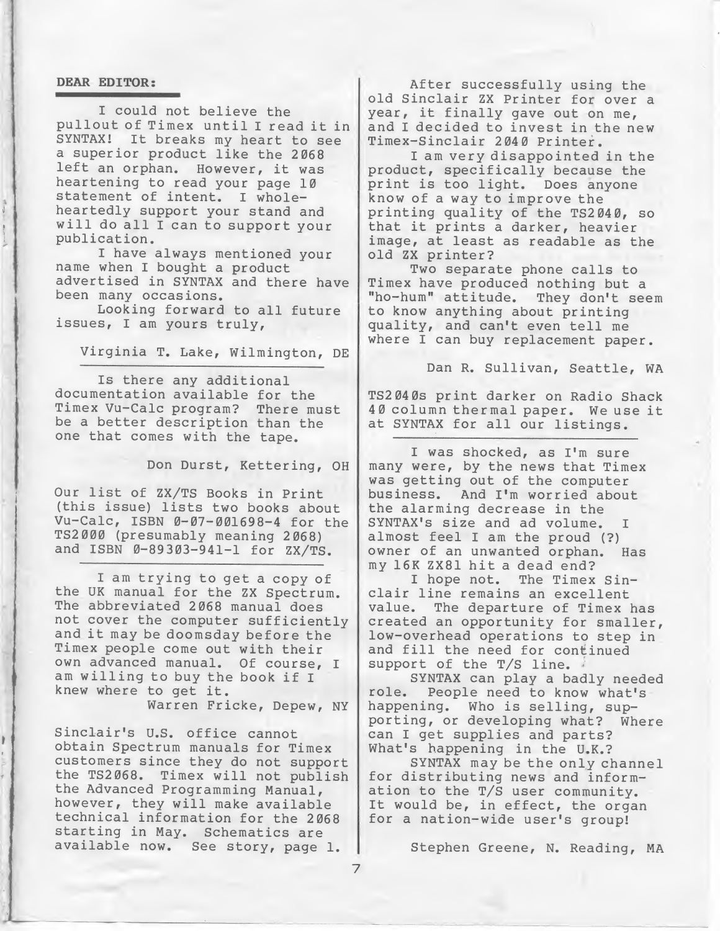# DEAR EDITOR:

I could not believe the pullout of Timex until <sup>I</sup> read it in SYNTAX! It breaks my heart to see a superior product like the 2068 left an orphan. However, it was heartening to read your page 10 statement of intent. I wholeheartedly support your stand and will do all <sup>I</sup> can to support your publication.

I have always mentioned your name when I bought a product advertised in SYNTAX and there have been many occasions.

Looking forward to all future issues, I am yours truly,

Virginia T. Lake, Wilmington, DE

Is there any additional documentation available for the Timex Vu-Calc program? There must be a better description than the one that comes with the tape.

Don Durst, Kettering, OH

Our list of ZX/TS Books in Print (this issue) lists two books about Vu-Calc, ISBN 0-07-001698-4 for the TS2000 (presumably meaning 2068) and ISBN 0-89303-941-1 for ZX/TS.

I am trying to get a copy of the UK manual for the ZX Spectrum. The abbreviated 2068 manual does not cover the computer sufficiently and it may be doomsday before the Timex people come out with their own advanced manual. Of course, I am willing to buy the book if <sup>I</sup> knew where to get it. Warren Fricke, Depew, NY

Sinclair's U.S. office cannot obtain Spectrum manuals for Timex customers since they do not support the TS2068. Timex will not publish the Advanced Programming Manual, however, they will make available technical information for the 2068 starting in May. Schematics are available now. See story, page 1.

After successfully using the old Sinclair ZX Printer for over a year, it finally gave out on me, and I decided to invest in the new Timex-Sinclair 2040 Printer.

I am very disappointed in the product, specifically because the print is too light. Does anyone know of a way to improve the printing quality of the TS2040, so that it prints <sup>a</sup> darker, heavier image, at least as readable as the old ZX printer?

Two separate phone calls to Timex have produced nothing but a "ho-hum" attitude. They don't seem to know anything about printing quality, and can't even tell me where I can buy replacement paper.

Dan R. Sullivan, Seattle, WA

TS2040S print darker on Radio Shack <sup>40</sup> column thermal paper. We use it at SYNTAX for all our listings.

I was shocked, as I'm sure many were, by the news that Timex was getting out of the computer business. And I'm worried about the alarming decrease in the SYNTAX'S size and ad volume. I almost feel I am the proud (?) owner of an unwanted orphan. Has my 16K ZX81 hit <sup>a</sup> dead end?

I hope not. The Timex Sinclair line remains an excellent value. The departure of Timex has created an opportunity for smaller, low-overhead operations to step in and fill the need for continued support of the T/S line.

SYNTAX can play a badly needed<br>role. People need to know what's People need to know what's happening. Who is selling, supporting, or developing what? Where can I get supplies and parts? What's happening in the U.K.?

SYNTAX may be the only channel for distributing news and information to the T/S user community. It would be, in effect, the organ for a nation-wide user's group!

Stephen Greene, N. Reading, MA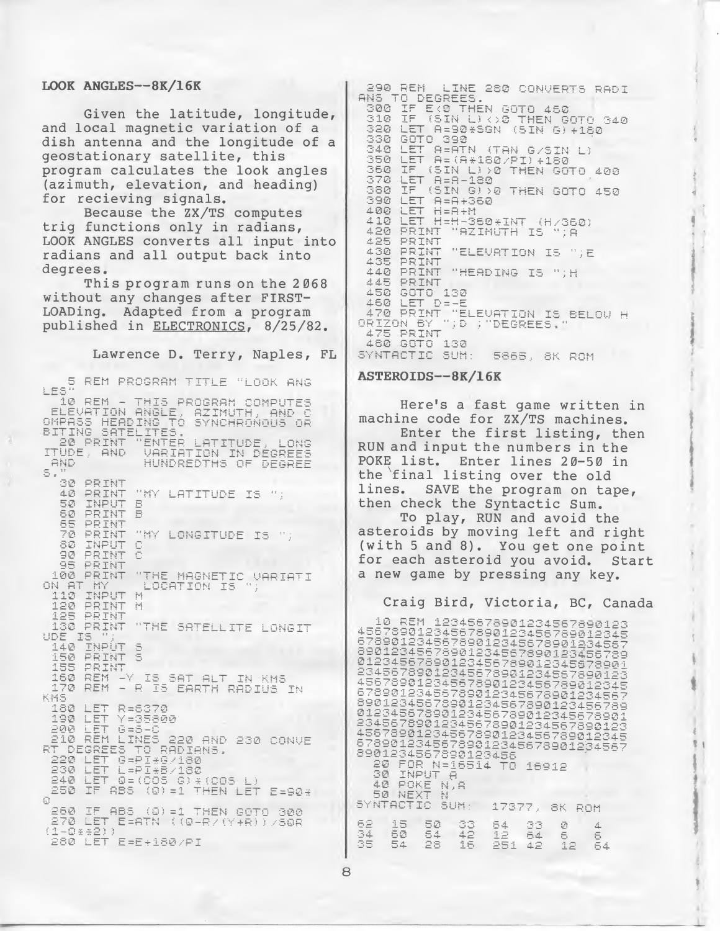#### LOOK ANGLES—8K/16K

Given the latitude, longitude, and local magnetic variation of a dish antenna and the longitude of a geostationary satellite, this program calculates the look angles (azimuth, elevation, and heading) for recieving signals.

Because the ZX/TS computes trig functions only in radians, LOOK ANGLES converts all input into radians and all output back into degrees.

This program runs on the 2068 without any changes after FIRST-LOADing. Adapted from a program published in ELECTRONICS. 8/25/82.

Lawrence D. Terry, Naples, FL

5 REM PROGRAM TITLE "LOOK ANG 10 REM - THIS PROGRAM COMPUTES ELEVATION ANGLE, AZIMUTH, AND C<br>MPASS HEADING TO SYNCHRONOUS OR OMPASS HEADING T<br>BITING SATELITES HINTER LATITUDE, LONG<br>VARIATION IN DEGREES<br>HUNDREDTHS OF DEGREE 20 PRINT ITUDE, AND AND s.  $\odot\oslash$ PRINT 40 PRINT "MY LATITUDE IS ": 50 INPUT<br>60 PRINT  $\Xi$  $\bar{B}$ PRINT 65 PRINT<br>TNPUT 70 "MY LONGITUDE IS "; 8Ø. 90 PRINT 95 PRINT "THE MAGNETIC VARIATI 100 PRINT ON AT MY<br>110 INP LOCATION IS **INPUT**  $\left\vert \cdot\right\vert$ 120 PRINT M PRINT 125<br>130 PRINT "THE SATELLITE LONGIT Is UDE 140 INPÚT 5<br>150 PRINT 5<br>155 PRINT 155 PRINT 160 RÊM -Y IS SAT ALT IN KMS<br>170 RÊM - R IS EARTH RADIUS IN KMS. 180 LET R=6370<br>LET Y=35800 190 LET 200  $G = S - C$ 10 REM LINES 220 AND 230 CONVE<br>LOEGREES TO BADIANS.  $210$ 220 LET G=PI\*G/180 230 LET L=PI#B/130<br>240 LET 0=(005 0)\*(005 L)<br>250 IF ABS (0)=1 THEN LET E=90\* Ø IF ABS (0) =1 THEN GOTO 300 260  $(1 - 0 + 2)$ EFATN ((0-RZ(Y+R))/SOR 280 LET E=E+180/PI

290 REM LINE LINE 280 CONVERTS RADI 300 IF EXP THEN GOTO 460 ĪF 310 (SIN L) <> 0 THEN GOTO 340 320 LET A=90\*SGN (SIN G)+180 330 GOTO 390 LET B-BIN (TAN G/SIN L) 340 350 360 IF (SIN L) >0 THEN GOTO 400 370 LET.  $A = A - 180$ (SIN G) YO THEN GOTO 450 380 IF. 390 LET A=A+360 400 LET  $H = H + H$ LET H=H-360 \*INT (H/360)  $410$ "AZIMUTH IS 420 PRINT MJĀ PRINT 425 430 PRINT "ELEVATION IS "; E PRINT 435 PRINT "HEADING IS "; H  $\Delta \Delta \bar{M}$ PRINT 445. 450 GOTO 130<br>460 LET D=-E DE-E 470 PRINT "ELEVATION IS BELOW H<br>RIZON BY "JD ;"DEGREES," ORIZON BY<br>475 PRINT 480 GOTO 130 SYNTACTIC SUM: 5865, 8K ROM

#### ASTEROIDS—8K/16K

Here's a fast game written in machine code for ZX/TS machines. Enter the first listing, then RUN and input the numbers in the Enter lines  $20 - 50$  in the final listing over the old<br>lines. SAVE the program on ta SAVE the program on tape, then check the Syntactic Sum. To play, RUN and avoid the

 $\sum_{i=1}^{n}$ 

\$ I

> 11 ) \*

asteroids by moving left and right (with 5 and 8). You get one point<br>for each asteroid you avoid. Start for each asteroid you avoid. a new game by pressing any key.

Craig Bird, Victoria, BC, Canada<br>
10 REM 12345678901234567890123<br>
45678901234567890123456789012345<br>
67890123456789012345678901234567<br>
6901234567890123456789012345678901<br>
01234567890123456789012345678901<br>
234557890123456789 23455789012345678901234567890123<br>45578901234567890123456789012345<br>678901234557890123456789012345678<br>09012345678901234567890123456789<br>090123456789012345678901234567890123<br>435678901234567890123456789012345<br>678901234567890123 20 FOR N=16514 TO 16912 INPUT 30 e 30 INPUT H<br>40 POKE N,A<br>50 NEXT N<br>SYNTACTIC SUM: 17377, 8K ROM  $50$  $\substack{33 \\ 42}$ 62 15 54 33  $\bar{\varnothing}$  $\Delta$ 34 50  $\bar{5}\bar{4}$ 12  $64$ 5  $\overline{5}$ 35 54 28 16 251 42 ī2  $54$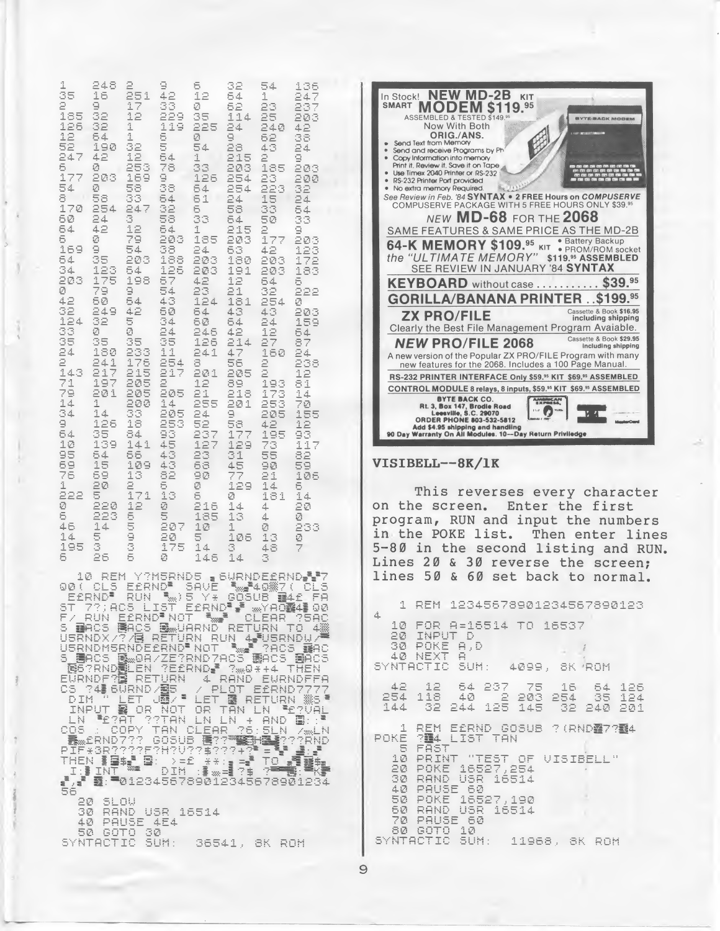| $\frac{185}{126}$<br>32<br>$\frac{\tau_1}{2}$<br>119<br>225<br>24<br>240<br>42<br>6<br>54<br>1<br>ø<br>9<br>52<br>43<br>$\frac{35}{24}$<br>52<br>ēз<br>5<br>32<br>190<br>54<br>247<br>215<br>42<br>54<br>ġ<br>12<br>Î.<br>2<br>$\frac{6}{17}$<br>ø<br>253<br>78<br>33<br>203<br>185<br>203<br>203<br>169<br>9<br>38<br>254<br>126<br>23<br>200<br>54<br>58<br>Ø<br>254<br>223<br>32<br>64<br>33<br>8<br>58<br>$\frac{2}{56}$<br>54<br>61<br>$\frac{15}{33}$<br>24<br>170<br>254<br>32<br>247<br>5<br>54<br>60<br>24<br>3<br>58<br>33<br>50<br>33<br>54<br>ā<br>64<br>42<br>12<br>54<br>1<br>215<br>9<br>6<br>79<br>203<br>38<br>185<br>203<br>ø<br>177<br>203<br>169<br>9<br>54<br>24<br>63<br>42<br>$\frac{123}{172}$<br>188<br>203<br>180<br>35<br>203<br>203<br>54<br>125<br>34<br>123<br>203<br>191<br>183<br>54<br>203<br>203<br>175<br>198<br>57<br>12<br>42<br>54<br>5<br>ø<br>79<br>9<br>54<br>23<br>21<br>32<br>222<br>42<br>50<br>54<br>43<br>124<br>181<br>254<br>Ø<br>32<br>249<br>42<br>50<br>64<br>43<br>43<br>203<br>124<br>32<br>Ξ<br>34<br>159<br>60<br>54<br>24<br>33<br>24<br>Ø<br>ø<br>246<br>42<br>12<br>64<br>na na ca ci<br>A-si gi c<br>35<br>35<br>35<br>27<br>126<br>87<br>214<br>180<br>233<br>176<br>215<br>11<br>241<br>47<br>160<br>24<br>241<br>$\frac{254}{217}$<br>8<br>56<br>205<br><b>nana</b><br>238<br>$\bar{2}1\bar{7}$<br>143<br>201<br>12<br>Ξ<br>71<br>205<br>89<br>197<br>12<br>193<br>81<br>79<br>201<br>205<br>205<br>21<br>218<br>173<br>14<br>$\frac{1}{3}$<br>201<br>1<br>200<br>33<br>18<br>14<br>255<br>253<br>70<br>14<br>205<br>253<br>93<br>24<br>9<br>205<br>155<br>9<br>126<br>52<br>58<br>177<br>42<br>$\frac{15}{93}$<br>35<br>139<br>54<br>84<br>237<br>123<br>23<br>195<br>10<br>$1\,4\,1$<br>$\frac{45}{43}$<br>73<br>117<br>129<br>55<br>58<br>76<br>66<br>31<br>55<br>82<br>54<br>15<br>43<br>109<br>68<br>45<br>90<br>59<br>82<br>69<br>13<br>90<br>77<br>21<br>106<br>ĝ.<br>ā<br>Ø<br>1<br>20<br>129<br>14<br>6<br>222<br>171<br>13<br>5<br>14<br>5<br>ø<br>181<br>Ø<br>220<br>12<br>Ø<br>216<br>20<br>14<br>4<br>5<br>5<br>6<br>223<br>185<br>13<br>Ø<br>4<br><b>UD CD</b><br>207<br>46<br>14<br>10<br>1<br>Ø<br>233<br>5<br>$\frac{20}{175}$<br>14<br>$\frac{5}{4}$<br>106<br>13<br>Ø<br>š<br>3<br>3<br>195<br>48 | Send and receive Programs by Ph<br>Copy Information into memory<br>Print it. Review it. Save it on Tape<br>Use Timex 2040 Printer or RS-232<br>RS-232 Printer Port provided<br>No extra memory Required.<br>See Review in Feb. '84 SYNTAX . 2 FREE Hours on COMPUSERVE<br>COMPUSERVE PACKAGE WITH 5 FREE HOURS ONLY \$39.99<br>NEW $MD-68$ FOR THE 2068<br>SAME FEATURES & SAME PRICE AS THE MD-2B<br>64-K MEMORY \$109.95 KIT . Battery Backup<br>the "ULTIMATE MEMORY" \$119.95 ASSEMBLED<br>SEE REVIEW IN JANUARY '84 SYNTAX<br>KEYBOARD without case  \$39.95<br><b>GORILLA/BANANA PRINTER . \$199.95</b><br>Cassette & Book \$16.95<br><b>ZX PRO/FILE</b><br>including shipping<br>Clearly the Best File Management Program Avaiable.<br>Cassette & Book \$29.95<br><b>NEW PRO/FILE 2068</b><br>Including shipping<br>A new version of the Popular ZX PRO/FILE Program with many<br>new features for the 2068. Includes a 100 Page Manual.<br>RS-232 PRINTER INTERFACE Only \$59.95 KIT \$69.95 ASSEMBLED<br>CONTROL MODULE 8 relays, 8 inputs, \$59.95 KIT \$69.95 ASSEMBLED<br><b>BYTE BACK CO.</b><br>Rt. 3, Box 147, Brodle Road<br>Leesville, S.C. 29070<br>ORDER PHONE 803-532-5812<br>AMMINCAN<br>- 0<br>n ar<br>Add \$4.95 shipping and handling<br>90 Day Warranty On All Modules. 10--Day Return Priviledge<br>VISIBELL--8K/1K<br>This reverses every character<br>Enter the first<br>on the screen.<br>program, RUN and input the numbers<br>in the POKE list.<br>Then enter lines<br>5-80 in the second listing and RUN. |
|------------------------------------------------------------------------------------------------------------------------------------------------------------------------------------------------------------------------------------------------------------------------------------------------------------------------------------------------------------------------------------------------------------------------------------------------------------------------------------------------------------------------------------------------------------------------------------------------------------------------------------------------------------------------------------------------------------------------------------------------------------------------------------------------------------------------------------------------------------------------------------------------------------------------------------------------------------------------------------------------------------------------------------------------------------------------------------------------------------------------------------------------------------------------------------------------------------------------------------------------------------------------------------------------------------------------------------------------------------------------------------------------------------------------------------------------------------------------------------------------------------------------------------------------------------------------------------------------------------------------------------------------------------------------------------------------------------------------------------------------------------------------------------------------------------------------------------------------------------------------------------------------------------------------------------------------------------------------------------------------------------------------------------------------------------------------------------------------------------------------------------------------------------------------------------------------------------------------------------------------------------------------------------|-------------------------------------------------------------------------------------------------------------------------------------------------------------------------------------------------------------------------------------------------------------------------------------------------------------------------------------------------------------------------------------------------------------------------------------------------------------------------------------------------------------------------------------------------------------------------------------------------------------------------------------------------------------------------------------------------------------------------------------------------------------------------------------------------------------------------------------------------------------------------------------------------------------------------------------------------------------------------------------------------------------------------------------------------------------------------------------------------------------------------------------------------------------------------------------------------------------------------------------------------------------------------------------------------------------------------------------------------------------------------------------------------------------------------------------------------------------------------------------------------------------------------------------------|
| 25<br>146<br>14<br>6<br>5<br>Ø<br>3<br>REM Y?M5RND5 BURNDESRND-17<br>10.<br>00( CLS E£RND" SAVE "#40#7( CLS<br>E£RND <sup>#</sup><br>:RND" RUN "WHO BLY" GOSUB B410<br>7?;Acs List Eernd", Wyade41<br>Run Eernd"not "W" clear ?!<br>FA<br><b><i>meYAO蟸4</i>畫QØ</b><br>SТ<br>?SAC<br>F/ Hun Einh (1)<br>S Bacs Bacs Belarnd Return to 4%<br>Usrndmsrndeernd Not  1808 Bac<br>Usrndmsrndeernd Not  1808 Bac<br>ERCS B 08/22 TRND7ACS BACS<br>B6?RNDBLEN ?E£RND 7 ? 08 144<br><b>BACS</b><br>THEN<br>EURNDF? <b>E</b> RETURN<br>4 RAND EURNDFFA<br>24 6URND / 图5<br>PLOT<br>E£RND7777<br>СS<br><b>LET JE / *</b><br>LET 图 RETURN 35<br>DIM<br>雲 OR<br>INPUT<br>NOT<br>OR TAN LN<br><b>PERUAL</b><br><b>PERAT RETAIN</b><br>20<br>SLOW<br>RAND USR 16514<br>30<br>40<br>PAUSE<br>4E4<br>50 GOTO 30<br>SYNTACTIC SUM:<br>36541, 8K ROM                                                                                                                                                                                                                                                                                                                                                                                                                                                                                                                                                                                                                                                                                                                                                                                                                                                                                                                                                                                                                                                                                                                                                                                                                                                                                                                                                                                                                                                  | Lines 20 & 30 reverse the screen:<br>lines 50<br>& 60 set back to normal.<br>12345678901234567890123<br>REM<br>1.<br>4<br>10<br>FOR 8=16514 TO 16537<br>20<br>INPUT<br>Ð<br>30<br>POKE<br>A, D<br>$\Box$<br>NEXT<br>40.<br>SYNTACTIC<br>SUM:<br>4099,<br>8K ROM<br>42<br>12<br>54<br>237<br>75<br>16<br>54<br>$126$<br>$124$<br>$203$<br>$145$<br>118<br>ŜŚ.<br>254<br>$254$<br>$32$<br>40<br>2<br>125<br>144<br>32<br>244<br>201<br>240<br>REM.<br>E£RND GOSUB<br>1<br><b>? (RNDY7754</b><br>LIST TAN<br>714<br>POKE<br>5<br>FAST<br>"IEST OF VISIBELL"<br>10<br>PRINT<br>20<br>16527,254<br>POKE<br>30<br>RAND<br>USR<br>16514<br>PAUSE<br>40<br>-60<br>16527,190<br>50<br>POKE<br>RAND<br>16514<br>50<br>USR<br>70<br>PAUSE<br>-60<br>GOTO<br>10<br>80<br>SYNTACTIC<br>SUM:<br>11968, 8K ROM<br>9                                                                                                                                                                                                                                                                                                                                                                                                                                                                                                                                                                                                                                                                                                                                      |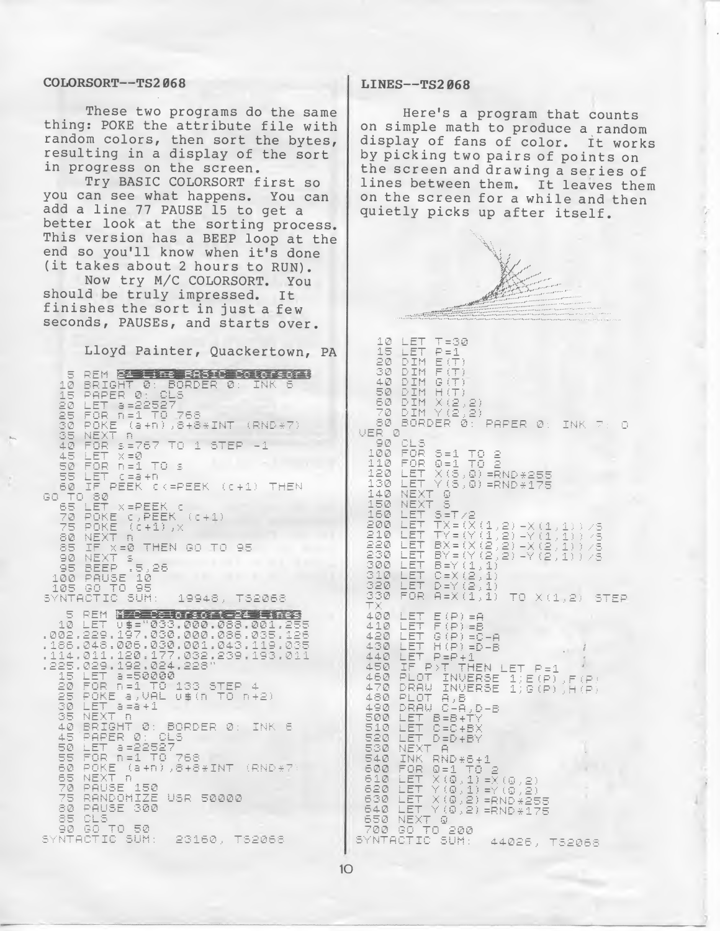#### COLORSORT—TS2 068 LINES—TS2068

These two programs do the same thing: POKE the attribute file with random colors, then sort the bytes, resulting in a display of the sort in progress on the screen.

Try BASIC COLORSORT first so you can see what happens. You can add a line <sup>77</sup> PAUSE <sup>15</sup> to get a better look at the sorting process. This version has a BEEP loop at the end so you'll know when it's done (it takes about <sup>2</sup> hours to RUN).

Now try M/C COLORSORT. You should be truly impressed. It finishes the sort in just <sup>a</sup> few seconds, PAUSES, and starts over.

Lloyd Painter, Quackertown, PA

5 REM 24 Line BASIC Colorsort 10 BRIGHT 0: BORDER<br>15 PAPER 0: CLS  $\mathcal{B}$ : 20 LET 3=22527<br>25 FOR n=1 TO 768<br>30 POKE (a+n),8+8  $(a + n), a + B * INT (RND * 7)$ NEXT R<br>FOR \$4767 TO 1 STEP -1 35<br>40 45 LET  $\times = \emptyset$ 50  $FOR$   $n=1$   $TO$  s 50 FOR n=1 TO s<br>58 LET (=a+n<br>60 IF PEEK (<=PEEK (<br>)TO 80<br>55 LET x=PEEK (<br>75 POKE (+1),x<br>75 POKE ((+1),x<br>80 NEXT 10 THEM OR TO PEEK CK=PEEK (C+1) THEN GO. IF X=0 THEN GO TO 95<br>NEXT S 85<br>90 90 NEXT 5<br>95 BEEP .5,26<br>100 PAUSE 10<br>105 GO TO 95<br>SYNTACTIC SUM: 19948, TS2068 5 REM M/C Colorsort-24 Lines 18 HET 11: 1822-803.000.088.001.255<br>002.229.197.030.000.086.035.125.<br>186.048.006.030.001.043.119.035.<br>114.011.120.024.229.239.193.011.<br>128.029.192.024.228 114.011.120.024.228<br>225.029.192.024.228<br>15 LET a=50000<br>20 FOR n=1 TO 133 STEP 4 20 FOR n=1 TO 133 STEP 4<br>25 POKE a,VAL 0\$(n TO n+2)<br>30 LET a=a+1<br>35 NEXT.D a assess a ruw 35 NEXT A<br>10 BRIGHT 0: BORDER 0: INK 6<br>45 PAPER 0: CLS<br>58 LET 3=22527<br>55 FOR n=1 TO 768<br>60 POKE (a+n),8+8\*INT (RND\*7<br>65 RANGE 150<br>78 RANGE 150<br>75 RANGE 150<br>75 RANGE 150 PAUSE 300 80 35 CLS<br>90 GO TO 50<br>SYNTACTIC SUM: 23160, TS2068

Here's a program that counts on simple math to produce a random display of fans of color. It works by picking two pairs of points on the screen and drawing <sup>a</sup> series of lines between them. It leaves them on the screen for a while and then quietly picks up after itself.



 $1<sup>O</sup>$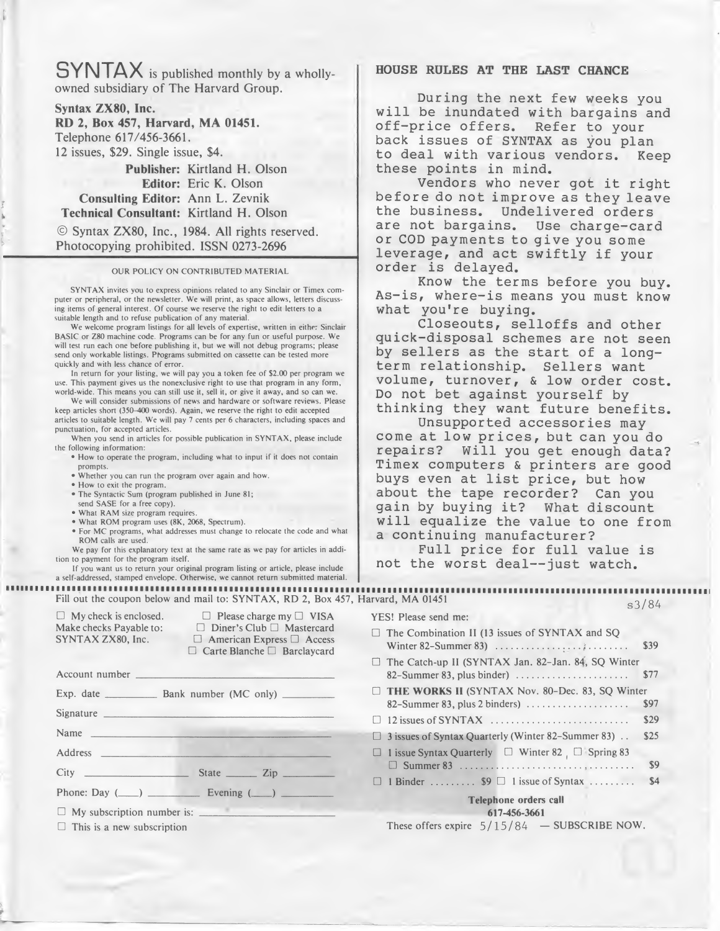SYNTAX is published monthly by <sup>a</sup> whollyowned subsidiary of The Harvard Group.

Syntax ZX80, Inc. RD 2, Box 457, Harvard, MA 01451.

Telephone 617/456-3661.

12 issues, \$29. Single issue, \$4.

Publisher: Kirtland H. Olson Editor: Eric K. Olson Consulting Editor: Ann L. Zevnik Technical Consultant: Kirtland H. Olson

© Syntax ZX80, Inc., 1984. All rights reserved. Photocopying prohibited. ISSN 0273-2696

#### OUR POLICY ON CONTRIBUTED MATERIAL

SYNTAX invites you to express opinions related to any Sinclair or Timex com puter or peripheral, or the newsletter. We will print, as space allows, letters discussing items of general interest. Of course we reserve the right to edit letters to a suitable length and to refuse publication of any material.

We welcome program listings for all levels of expertise, written in either Sinclair BASIC or Z80 machine code. Programs can be for any fun or useful purpose. We will test run each one before publishing it, but we will not debug programs; please send only workable listings. Programs submitted on cassette can be tested more quickly and with less chance of error.

In return for your listing, we will pay you a token fee of \$2.00 per program we use. This payment gives us the nonexclusive right to use that program in any form, world-wide. This means you can still use it, sell it, or give it away, and so can we.

We will consider submissions of news and hardware or software reviews. Please keep articles short (350-400 words). Again, we reserve the right to edit accepted articles to suitable length. We will pay 7 cents per 6 characters, including spaces and punctuation, for accepted articles.

When you send in articles for possible publication in SYNTAX, please include the following information:

• How to operate the program, including what to input if it does not contain prompts.

• Whether you can run the program over again and how.

• How to exit the program.

• The Syntactic Sum (program published in June 81;

send SASE for a free copy).

• What RAM size program requires • What ROM program uses (8K, 2068, Spectrum).

• For MC programs, what addresses must change to relocate the code and what ROM calls are used.

We pay for this explanatory text at the same rate as we pay for articles in addition to payment for the program itself.

If you want us to return your original program listing or article, please include a self-addressed, stamped envelope. Otherwise, we cannot return submitted material.

Fill out the coupon below and mail to: SYNTAX, RD 2, Box 457, Harvard, MA 01451  $\Box$  My check is enclosed.  $\Box$  Please charge my  $\Box$  VISA Make checks Payable to:  $\square$  Diner's Club  $\square$  Mastercard<br>SYNTAX ZX80, Inc.  $\square$  American Express  $\square$  Access  $\Box$  American Express  $\Box$  Access □ Carte Blanche □ Barclaycard Account number Exp. date \_ us the noncedusive right to use that program in any for<br>
us the nonexclusive right to use that program in any for<br>
you can still use it, sell it, or give it away, and os can we<br>
400 words). Again, we reserve the right to  $\Box$  Diner's Club  $\Box$  Mastercard<br>  $\Box$  American Express  $\Box$  Access<br>  $\Box$  Carte Blanche  $\Box$  Barclaycard<br>
Bank number (MC only) Signature \_ Address In return for your listing, we will app you a token tee of 32.00 per program<br>
in each This payment gives us the noneclaisive right to use that program in any for<br>
one This means you can all use it, sell it, or give it awa that (350–400 words). Again, we reserve the right to edit accepted<br>table length. We will pay 7 cents per 6 characters, including spaces<br>to for accepted articles.<br>In formation:<br>the operate the program, including what to in for your listing, we will pay you a token fee of \$2.00 per pregram<br>nent gives us the noneclasive right to use that program in any form<br>this means you can still use it, sell it, or give it away, and so can wonder<br>not gives Make checks Payable to:<br>  $\Box$  biner's Club  $\Box$  Matercard<br>
SYNTAX ZX80, Inc.<br>  $\Box$  Diner's Club  $\Box$  Matercard<br>
SYNTAX ZX80, Inc.<br>  $\Box$  American Express  $\Box$  Access<br>  $\Box$  Carte Blanche  $\Box$  Barclaycard<br>
Account number<br>
Ex Phone: Day (\_)\_Evening (\_)\_ This is a new subscription  $\Box$  My subscription number is: number is:\_

# HOUSE RULES AT THE LAST CHANCE

During the next few weeks you will be inundated with bargains and off-price offers. Refer to your back issues of SYNTAX as you plan to deal with various vendors. Keep these points in mind.

Vendors who never got it right before do not improve as they leave the business. Undelivered orders are not bargains. Use charge-card or COD payments to give you some leverage, and act swiftly if your order is delayed.

Know the terms before you buy. As-is, where-is means you must know what you're buying.

Closeouts, selloffs and other quick-disposal schemes are not seen by sellers as the start of a longterm relationship. Sellers want volume, turnover, & low order cost. Do not bet against yourself by thinking they want future benefits.

Unsupported accessories may come at low prices, but can you do repairs? Will you get enough data? Timex computers & printers are good buys even at list price, but how about the tape recorder? Can you gain by buying it? What discount will equalize the value to one from a continuing manufacturer?

Full price for full value is not the worst deal--just watch.

s3/84 YES! Please send me: The Combination II (13 issues of SYNTAX and SQ imex computers & printers are goodys even at list price, but how<br>bout the tape recorder? Can you<br>ain by buying it? What discount<br>ill equalize the value to one from the continuing manufacturer?<br>Full price for full value is<br>  $\Box$  The Catch-up II (SYNTAX Jan. 82–Jan. 84, SQ Winter 82–Summer 83, plus binder) example and the start of a long-<br>
plume, turnover, & low order cos<br>
plume, turnover, & low order cos<br>
pinking they want future benefit<br>
Unsupported accessories may<br>
pome at low prices, but can you dd<br>
pome at low prices, THE WORKS II (SYNTAX Nov. 80-Dec. 83, SQ Winter 1930 INSTANT CONTENT CONSULTED SURVEY CONSULTED UNEXCESSORED THE WORKS II (SPITCHE ACCESSORED AND CONTENT CONDUCTED AND NOTE THAT AN ONOU THE VALUE OF THE WORKER (SPITCHE VALUE OF THE WORKER OF THE CONTENTING MANUTED THE and Consecuting,<br>Closeouting, selloffs and other<br>Closeouting Sellers as the start of a long-<br>Tem relationship. Sellers want<br>prime relationship. Sellers want<br>blume, turnover, & low order cos<br>in the same tour prices, but can <sup>3</sup> issues of Syntax Quarterly (Winter 82-Summer 83) .. \$25  $\Box$  1 issue Syntax Quarterly  $\Box$  Winter 82  $\Box$  Spring 83 MA 01451<br>
S<sup>1</sup>/84<br>
Please send me:<br>
Combination II (13 issues of SYNTAX and SQ<br>
ter 82-Summer 83)<br>
Catch-up II (SYNTAX Jan. 82-Jan. 84, SQ Winter<br>
EWORKS II (SYNTAX Nov. 80-Dec. 83, SQ Winter<br>
EWORKS II (SYNTAX Nov. 80-De The Catch-up II (SYNTAX Jan. 82-Jan. 84, SQ Winter<br>
22-Summer 83, plus binder)<br>
1977<br>
THE WORKS II (SYNTAX Nov. 80-Dec. 83, SQ Winter<br>
22-Summer 83, plus 2 binders)<br>
12 issues of SYNTAX<br>
12 issues of Syntax Quarterly (Win Telephone orders call 617-456-3661

These offers expire  $5/15/84$  - SUBSCRIBE NOW.